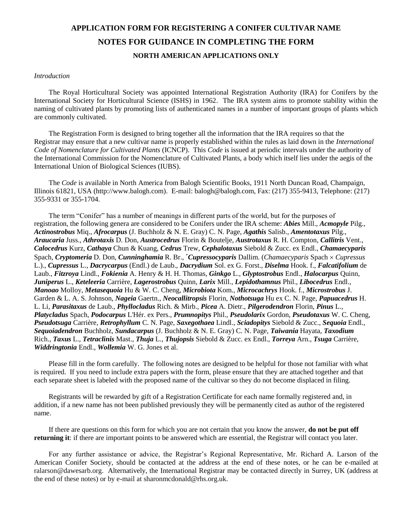# **APPLICATION FORM FOR REGISTERING A CONIFER CULTIVAR NAME NOTES FOR GUIDANCE IN COMPLETING THE FORM NORTH AMERICAN APPLICATIONS ONLY**

#### *Introduction*

The Royal Horticultural Society was appointed International Registration Authority (IRA) for Conifers by the International Society for Horticultural Science (ISHS) in 1962. The IRA system aims to promote stability within the naming of cultivated plants by promoting lists of authenticated names in a number of important groups of plants which are commonly cultivated.

The Registration Form is designed to bring together all the information that the IRA requires so that the Registrar may ensure that a new cultivar name is properly established within the rules as laid down in the *International Code of Nomenclature for Cultivated Plants* (ICNCP). This *Code* is issued at periodic intervals under the authority of the International Commission for the Nomenclature of Cultivated Plants, a body which itself lies under the aegis of the International Union of Biological Sciences (IUBS).

The *Code* is available in North America from Balogh Scientific Books, 1911 North Duncan Road, Champaign, Illinois 61821, USA (http://www.balogh.com). E-mail: balogh@balogh.com, Fax: (217) 355-9413, Telephone: (217) 355-9331 or 355-1704.

The term "Conifer" has a number of meanings in different parts of the world, but for the purposes of registration, the following genera are considered to be Conifers under the IRA scheme: *Abies* Mill., *Acmopyle* Pilg., *Actinostrobus* Miq., *Afrocarpus* (J. Buchholz & N. E. Gray) C. N. Page, *Agathis* Salisb., *Amentotaxus* Pilg., *Araucaria* Juss., *Athrotaxis* D. Don, *Austrocedrus* Florin & Boutelje, *Austrotaxus* R. H. Compton, *Callitris* Vent., *Calocedrus* Kurz, *Cathaya* Chun & Kuang, *Cedrus* Trew, *Cephalotaxus* Siebold & Zucc. ex Endl., *Chamaecyparis* Spach, *Cryptomeria* D. Don, *Cunninghamia* R. Br., *Cupressocyparis Dallim.* (*Chamaecyparis Spach × Cupressus* L.)., *Cupressus* L., *Dacrycarpus* (Endl.) de Laub., *Dacrydium* Sol. ex G. Forst., *Diselma* Hook. f., *Falcatifolium* de Laub., *Fitzroya* Lindl., *Fokienia* A. Henry & H. H. Thomas, *Ginkgo* L., *Glyptostrobus* Endl., *Halocarpus* Quinn, *Juniperus* L., *Keteleeria* Carrière, *Lagerostrobus* Quinn, *Larix* Mill., *Lepidothamnus* Phil., *Libocedrus* Endl., *Manoao* Molloy, *Metasequoia* Hu & W. C. Cheng, *Microbiota* Kom., *Microcachrys* Hook. f., *Microstrobus* J. Garden & L. A. S. Johnson, *Nageia* Gaertn., *Neocallitropsis* Florin, *Nothotsuga* Hu ex C. N. Page, *Papuacedrus* H. L. Li, *Parasitaxus* de Laub., *Phyllocladus* Rich. & Mirb., *Picea* A. Dietr., *Pilgerodendron* Florin, *Pinus* L., *Platycladus* Spach, *Podocarpus* L'Hér. ex Pers., *Prumnopitys* Phil., *Pseudolarix* Gordon, *Pseudotaxus* W. C. Cheng, *Pseudotsuga* Carrière, *Retrophyllum* C. N. Page, *Saxegothaea* Lindl., *Sciadopitys* Siebold & Zucc., *Sequoia* Endl., *Sequoiadendron* Buchholz, *Sundacarpus* (J. Buchholz & N. E. Gray) C. N. Page, *Taiwania* Hayata, *Taxodium* Rich., *Taxus* L., *Tetraclinis* Mast., *Thuja* L., *Thujopsis* Siebold & Zucc. ex Endl., *Torreya* Arn., *Tsuga* Carrière, *Widdringtonia* Endl., *Wollemia* W. G. Jones et al.

Please fill in the form carefully. The following notes are designed to be helpful for those not familiar with what is required. If you need to include extra papers with the form, please ensure that they are attached together and that each separate sheet is labeled with the proposed name of the cultivar so they do not become displaced in filing.

Registrants will be rewarded by gift of a Registration Certificate for each name formally registered and, in addition, if a new name has not been published previously they will be permanently cited as author of the registered name.

If there are questions on this form for which you are not certain that you know the answer, **do not be put off returning it**: if there are important points to be answered which are essential, the Registrar will contact you later.

For any further assistance or advice, the Registrar's Regional Representative, Mr. Richard A. Larson of the American Conifer Society, should be contacted at the address at the end of these notes, or he can be e-mailed at [ralarson@dawesarb.org.](mailto:ralarson@dawesarb.org) Alternatively, the International Registrar may be contacted directly in Surrey, UK (address at the end of these notes) or by e-mail at [sharonmcdonald@rhs.org.uk.](mailto:sharonmcdonald@rhs.org.uk)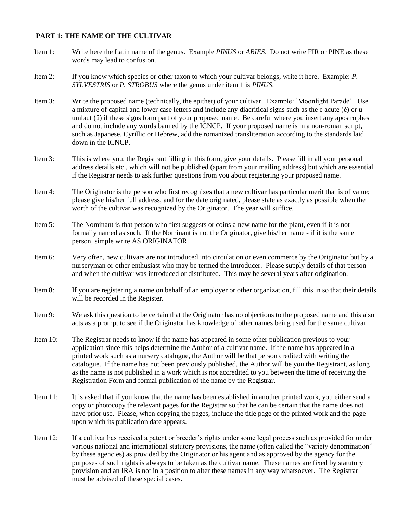### **PART 1: THE NAME OF THE CULTIVAR**

- Item 1: Write here the Latin name of the genus. Example *PINUS* or *ABIES*. Do not write FIR or PINE as these words may lead to confusion.
- Item 2: If you know which species or other taxon to which your cultivar belongs, write it here. Example: *P. SYLVESTRIS* or *P. STROBUS* where the genus under item 1 is *PINUS*.
- Item 3: Write the proposed name (technically, the epithet) of your cultivar. Example: `Moonlight Parade'. Use a mixture of capital and lower case letters and include any diacritical signs such as the e acute (é) or u umlaut (ü) if these signs form part of your proposed name. Be careful where you insert any apostrophes and do not include any words banned by the ICNCP. If your proposed name is in a non-roman script, such as Japanese, Cyrillic or Hebrew, add the romanized transliteration according to the standards laid down in the ICNCP.
- Item 3: This is where you, the Registrant filling in this form, give your details. Please fill in all your personal address details etc., which will not be published (apart from your mailing address) but which are essential if the Registrar needs to ask further questions from you about registering your proposed name.
- Item 4: The Originator is the person who first recognizes that a new cultivar has particular merit that is of value; please give his/her full address, and for the date originated, please state as exactly as possible when the worth of the cultivar was recognized by the Originator. The year will suffice.
- Item 5: The Nominant is that person who first suggests or coins a new name for the plant, even if it is not formally named as such. If the Nominant is not the Originator, give his/her name - if it is the same person, simple write AS ORIGINATOR.
- Item 6: Very often, new cultivars are not introduced into circulation or even commerce by the Originator but by a nurseryman or other enthusiast who may be termed the Introducer. Please supply details of that person and when the cultivar was introduced or distributed. This may be several years after origination.
- Item 8: If you are registering a name on behalf of an employer or other organization, fill this in so that their details will be recorded in the Register.
- Item 9: We ask this question to be certain that the Originator has no objections to the proposed name and this also acts as a prompt to see if the Originator has knowledge of other names being used for the same cultivar.
- Item 10: The Registrar needs to know if the name has appeared in some other publication previous to your application since this helps determine the Author of a cultivar name. If the name has appeared in a printed work such as a nursery catalogue, the Author will be that person credited with writing the catalogue. If the name has not been previously published, the Author will be you the Registrant, as long as the name is not published in a work which is not accredited to you between the time of receiving the Registration Form and formal publication of the name by the Registrar.
- Item 11: It is asked that if you know that the name has been established in another printed work, you either send a copy or photocopy the relevant pages for the Registrar so that he can be certain that the name does not have prior use. Please, when copying the pages, include the title page of the printed work and the page upon which its publication date appears.
- Item 12: If a cultivar has received a patent or breeder's rights under some legal process such as provided for under various national and international statutory provisions, the name (often called the "variety denomination" by these agencies) as provided by the Originator or his agent and as approved by the agency for the purposes of such rights is always to be taken as the cultivar name. These names are fixed by statutory provision and an IRA is not in a position to alter these names in any way whatsoever. The Registrar must be advised of these special cases.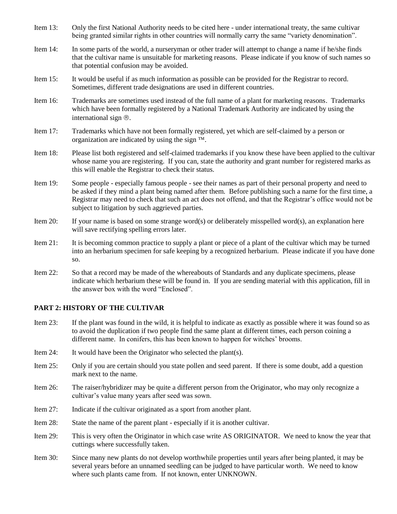- Item 13: Only the first National Authority needs to be cited here under international treaty, the same cultivar being granted similar rights in other countries will normally carry the same "variety denomination".
- Item 14: In some parts of the world, a nurseryman or other trader will attempt to change a name if he/she finds that the cultivar name is unsuitable for marketing reasons. Please indicate if you know of such names so that potential confusion may be avoided.
- Item 15: It would be useful if as much information as possible can be provided for the Registrar to record. Sometimes, different trade designations are used in different countries.
- Item 16: Trademarks are sometimes used instead of the full name of a plant for marketing reasons. Trademarks which have been formally registered by a National Trademark Authority are indicated by using the international sign  $\mathcal{R}$ .
- Item 17: Trademarks which have not been formally registered, yet which are self-claimed by a person or organization are indicated by using the sign  $TM$ .
- Item 18: Please list both registered and self-claimed trademarks if you know these have been applied to the cultivar whose name you are registering. If you can, state the authority and grant number for registered marks as this will enable the Registrar to check their status.
- Item 19: Some people especially famous people see their names as part of their personal property and need to be asked if they mind a plant being named after them. Before publishing such a name for the first time, a Registrar may need to check that such an act does not offend, and that the Registrar's office would not be subject to litigation by such aggrieved parties.
- Item 20: If your name is based on some strange word(s) or deliberately misspelled word(s), an explanation here will save rectifying spelling errors later.
- Item 21: It is becoming common practice to supply a plant or piece of a plant of the cultivar which may be turned into an herbarium specimen for safe keeping by a recognized herbarium. Please indicate if you have done so.
- Item 22: So that a record may be made of the whereabouts of Standards and any duplicate specimens, please indicate which herbarium these will be found in. If you are sending material with this application, fill in the answer box with the word "Enclosed".

#### **PART 2: HISTORY OF THE CULTIVAR**

- Item 23: If the plant was found in the wild, it is helpful to indicate as exactly as possible where it was found so as to avoid the duplication if two people find the same plant at different times, each person coining a different name. In conifers, this has been known to happen for witches' brooms.
- Item 24: It would have been the Originator who selected the plant(s).
- Item 25: Only if you are certain should you state pollen and seed parent. If there is some doubt, add a question mark next to the name.
- Item 26: The raiser/hybridizer may be quite a different person from the Originator, who may only recognize a cultivar's value many years after seed was sown.
- Item 27: Indicate if the cultivar originated as a sport from another plant.
- Item 28: State the name of the parent plant especially if it is another cultivar.
- Item 29: This is very often the Originator in which case write AS ORIGINATOR. We need to know the year that cuttings where successfully taken.
- Item 30: Since many new plants do not develop worthwhile properties until years after being planted, it may be several years before an unnamed seedling can be judged to have particular worth. We need to know where such plants came from. If not known, enter UNKNOWN.